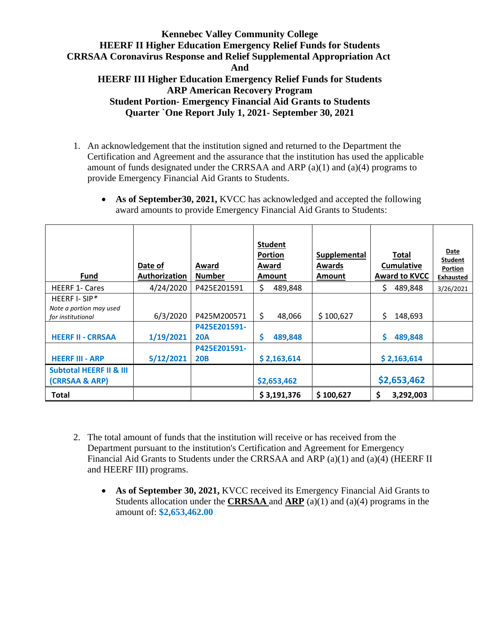- 1. An acknowledgement that the institution signed and returned to the Department the Certification and Agreement and the assurance that the institution has used the applicable amount of funds designated under the CRRSAA and ARP (a)(1) and (a)(4) programs to provide Emergency Financial Aid Grants to Students.
	- As of September 30, 2021, KVCC has acknowledged and accepted the following award amounts to provide Emergency Financial Aid Grants to Students:

| <b>Fund</b>                                                                              | Date of<br>Authorization | Award<br><b>Number</b>                    | <b>Student</b><br><b>Portion</b><br>Award<br>Amount | <b>Supplemental</b><br><b>Awards</b><br>Amount | <b>Total</b><br><b>Cumulative</b><br><b>Award to KVCC</b> | <b>Date</b><br>Student<br>Portion<br><b>Exhausted</b> |
|------------------------------------------------------------------------------------------|--------------------------|-------------------------------------------|-----------------------------------------------------|------------------------------------------------|-----------------------------------------------------------|-------------------------------------------------------|
| <b>HEERF 1- Cares</b>                                                                    | 4/24/2020                | P425E201591                               | \$<br>489,848                                       |                                                | \$<br>489,848                                             | 3/26/2021                                             |
| HEERF I-SIP*<br>Note a portion may used<br>for institutional<br><b>HEERF II - CRRSAA</b> | 6/3/2020<br>1/19/2021    | P425M200571<br>P425E201591-<br><b>20A</b> | \$<br>48,066<br>489,848<br>S                        | \$100,627                                      | \$<br>148,693<br>S<br>489,848                             |                                                       |
| <b>HEERF III - ARP</b>                                                                   | 5/12/2021                | P425E201591-<br><b>20B</b>                | \$2,163,614                                         |                                                | \$2,163,614                                               |                                                       |
| <b>Subtotal HEERF II &amp; III</b><br>(CRRSAA & ARP)                                     |                          |                                           | \$2,653,462                                         |                                                | \$2,653,462                                               |                                                       |
| Total                                                                                    |                          |                                           | \$3,191,376                                         | \$100,627                                      | \$<br>3,292,003                                           |                                                       |

- 2. The total amount of funds that the institution will receive or has received from the Department pursuant to the institution's Certification and Agreement for Emergency Financial Aid Grants to Students under the CRRSAA and ARP (a)(1) and (a)(4) (HEERF II and HEERF III) programs.
	- **As of September 30, 2021,** KVCC received its Emergency Financial Aid Grants to Students allocation under the **CRRSAA** and **ARP** (a)(1) and (a)(4) programs in the amount of: **\$2,653,462.00**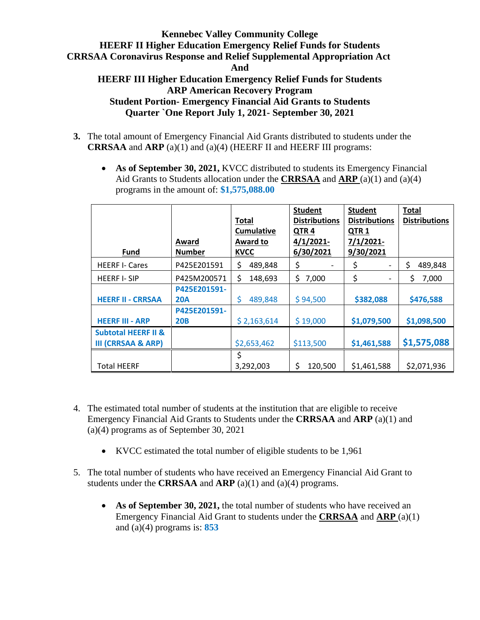## **Kennebec Valley Community College HEERF II Higher Education Emergency Relief Funds for Students CRRSAA Coronavirus Response and Relief Supplemental Appropriation Act And HEERF III Higher Education Emergency Relief Funds for Students ARP American Recovery Program**

**Student Portion- Emergency Financial Aid Grants to Students Quarter `One Report July 1, 2021- September 30, 2021**

- **3.** The total amount of Emergency Financial Aid Grants distributed to students under the **CRRSAA** and **ARP** (a)(1) and (a)(4) (HEERF II and HEERF III programs:
	- **As of September 30, 2021,** KVCC distributed to students its Emergency Financial Aid Grants to Students allocation under the **CRRSAA** and **ARP** (a)(1) and (a)(4) programs in the amount of: **\$1,575,088.00**

| <b>Fund</b>                                                     | Award<br><b>Number</b>     | <b>Total</b><br><b>Cumulative</b><br>Award to<br><b>KVCC</b> | <b>Student</b><br><b>Distributions</b><br>QTR <sub>4</sub><br>4/1/2021<br>6/30/2021 | <b>Student</b><br><b>Distributions</b><br>QTR <sub>1</sub><br>$7/1/2021$ -<br>9/30/2021 | <b>Total</b><br><b>Distributions</b> |
|-----------------------------------------------------------------|----------------------------|--------------------------------------------------------------|-------------------------------------------------------------------------------------|-----------------------------------------------------------------------------------------|--------------------------------------|
| <b>HEERF I- Cares</b>                                           | P425E201591                | \$<br>489,848                                                | \$                                                                                  | \$                                                                                      | \$<br>489,848                        |
| <b>HEERF I-SIP</b>                                              | P425M200571                | \$<br>148,693                                                | \$<br>7,000                                                                         | \$                                                                                      | \$<br>7,000                          |
| <b>HEERF II - CRRSAA</b>                                        | P425E201591-<br><b>20A</b> | \$<br>489,848                                                | \$94,500                                                                            | \$382,088                                                                               | \$476,588                            |
| <b>HEERF III - ARP</b>                                          | P425E201591-<br><b>20B</b> | \$2,163,614                                                  | \$19,000                                                                            | \$1,079,500                                                                             | \$1,098,500                          |
| <b>Subtotal HEERF II &amp;</b><br><b>III (CRRSAA &amp; ARP)</b> |                            | \$2,653,462                                                  | \$113,500                                                                           | \$1,461,588                                                                             | \$1,575,088                          |
| <b>Total HEERF</b>                                              |                            | \$<br>3,292,003                                              | \$<br>120,500                                                                       | \$1,461,588                                                                             | \$2,071,936                          |

- 4. The estimated total number of students at the institution that are eligible to receive Emergency Financial Aid Grants to Students under the **CRRSAA** and **ARP** (a)(1) and (a)(4) programs as of September 30, 2021
	- KVCC estimated the total number of eligible students to be 1,961
- 5. The total number of students who have received an Emergency Financial Aid Grant to students under the **CRRSAA** and **ARP** (a)(1) and (a)(4) programs.
	- As of September 30, 2021, the total number of students who have received an Emergency Financial Aid Grant to students under the **CRRSAA** and **ARP** (a)(1) and (a)(4) programs is: **853**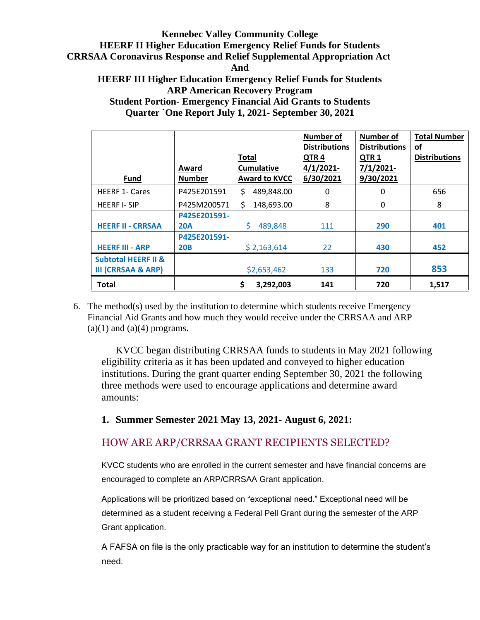#### **Kennebec Valley Community College HEERF II Higher Education Emergency Relief Funds for Students CRRSAA Coronavirus Response and Relief Supplemental Appropriation Act And**

#### **HEERF III Higher Education Emergency Relief Funds for Students ARP American Recovery Program Student Portion- Emergency Financial Aid Grants to Students Quarter `One Report July 1, 2021- September 30, 2021**

| <b>Fund</b>                    | Award<br><b>Number</b> | <b>Total</b><br><b>Cumulative</b><br><b>Award to KVCC</b> | Number of<br><b>Distributions</b><br>QTR4<br>$4/1/2021$ -<br>6/30/2021 | <b>Number of</b><br><b>Distributions</b><br>QTR <sub>1</sub><br>$7/1/2021$ -<br>9/30/2021 | <b>Total Number</b><br>$\underline{\mathsf{of}}$<br><b>Distributions</b> |
|--------------------------------|------------------------|-----------------------------------------------------------|------------------------------------------------------------------------|-------------------------------------------------------------------------------------------|--------------------------------------------------------------------------|
| <b>HEERF 1- Cares</b>          | P425E201591            | \$<br>489,848.00                                          | 0                                                                      | 0                                                                                         | 656                                                                      |
| <b>HEERF I-SIP</b>             | P425M200571            | \$<br>148,693.00                                          | 8                                                                      | 0                                                                                         | 8                                                                        |
|                                | P425E201591-           |                                                           |                                                                        |                                                                                           |                                                                          |
| <b>HEERF II - CRRSAA</b>       | <b>20A</b>             | Ś<br>489,848                                              | 111                                                                    | 290                                                                                       | 401                                                                      |
|                                | P425E201591-           |                                                           |                                                                        |                                                                                           |                                                                          |
| <b>HEERF III - ARP</b>         | <b>20B</b>             | \$2,163,614                                               | 22                                                                     | 430                                                                                       | 452                                                                      |
| <b>Subtotal HEERF II &amp;</b> |                        |                                                           |                                                                        |                                                                                           |                                                                          |
| <b>III (CRRSAA &amp; ARP)</b>  |                        | \$2,653,462                                               | 133                                                                    | 720                                                                                       | 853                                                                      |
| <b>Total</b>                   |                        | \$<br>3,292,003                                           | 141                                                                    | 720                                                                                       | 1,517                                                                    |

6. The method(s) used by the institution to determine which students receive Emergency Financial Aid Grants and how much they would receive under the CRRSAA and ARP  $(a)(1)$  and  $(a)(4)$  programs.

KVCC began distributing CRRSAA funds to students in May 2021 following eligibility criteria as it has been updated and conveyed to higher education institutions. During the grant quarter ending September 30, 2021 the following three methods were used to encourage applications and determine award amounts:

## **1. Summer Semester 2021 May 13, 2021- August 6, 2021:**

# HOW ARE ARP/CRRSAA GRANT RECIPIENTS SELECTED?

KVCC students who are enrolled in the current semester and have financial concerns are encouraged to complete an ARP/CRRSAA Grant application.

Applications will be prioritized based on "exceptional need." Exceptional need will be determined as a student receiving a Federal Pell Grant during the semester of the ARP Grant application.

A FAFSA on file is the only practicable way for an institution to determine the student's need.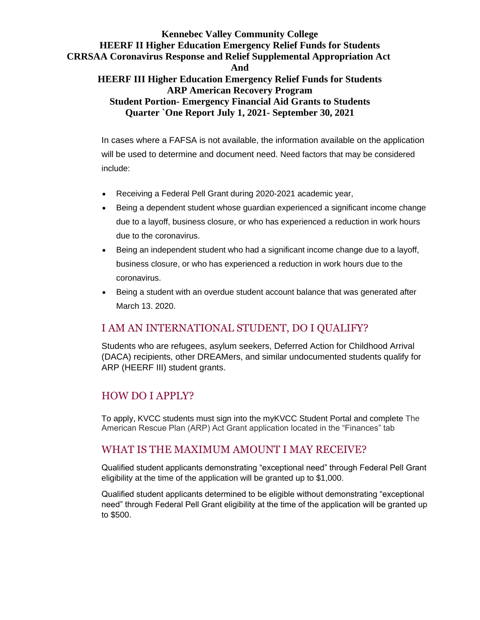# **Kennebec Valley Community College HEERF II Higher Education Emergency Relief Funds for Students CRRSAA Coronavirus Response and Relief Supplemental Appropriation Act And**

## **HEERF III Higher Education Emergency Relief Funds for Students ARP American Recovery Program Student Portion- Emergency Financial Aid Grants to Students Quarter `One Report July 1, 2021- September 30, 2021**

In cases where a FAFSA is not available, the information available on the application will be used to determine and document need. Need factors that may be considered include:

- Receiving a Federal Pell Grant during 2020-2021 academic year,
- Being a dependent student whose guardian experienced a significant income change due to a layoff, business closure, or who has experienced a reduction in work hours due to the coronavirus.
- Being an independent student who had a significant income change due to a layoff, business closure, or who has experienced a reduction in work hours due to the coronavirus.
- Being a student with an overdue student account balance that was generated after March 13. 2020.

# I AM AN INTERNATIONAL STUDENT, DO I QUALIFY?

Students who are refugees, asylum seekers, Deferred Action for Childhood Arrival (DACA) recipients, other DREAMers, and similar undocumented students qualify for ARP (HEERF III) student grants.

# HOW DO I APPLY?

To apply, KVCC students must sign into the myKVCC Student Portal and complete The American Rescue Plan (ARP) Act Grant application located in the "Finances" tab

# WHAT IS THE MAXIMUM AMOUNT I MAY RECEIVE?

Qualified student applicants demonstrating "exceptional need" through Federal Pell Grant eligibility at the time of the application will be granted up to \$1,000.

Qualified student applicants determined to be eligible without demonstrating "exceptional need" through Federal Pell Grant eligibility at the time of the application will be granted up to \$500.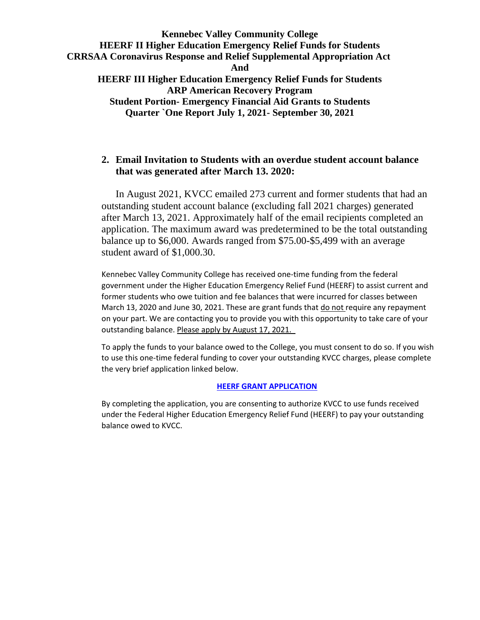**Quarter `One Report July 1, 2021- September 30, 2021**

## **2. Email Invitation to Students with an overdue student account balance that was generated after March 13. 2020:**

In August 2021, KVCC emailed 273 current and former students that had an outstanding student account balance (excluding fall 2021 charges) generated after March 13, 2021. Approximately half of the email recipients completed an application. The maximum award was predetermined to be the total outstanding balance up to \$6,000. Awards ranged from \$75.00-\$5,499 with an average student award of \$1,000.30.

Kennebec Valley Community College has received one-time funding from the federal government under the Higher Education Emergency Relief Fund (HEERF) to assist current and former students who owe tuition and fee balances that were incurred for classes between March 13, 2020 and June 30, 2021. These are grant funds that do not require any repayment on your part. We are contacting you to provide you with this opportunity to take care of your outstanding balance. Please apply by August 17, 2021.

To apply the funds to your balance owed to the College, you must consent to do so. If you wish to use this one-time federal funding to cover your outstanding KVCC charges, please complete the very brief application linked below.

#### **[HEERF GRANT APPLICATION](https://nam11.safelinks.protection.outlook.com/?url=https%3A%2F%2Fwww.kvcc.me.edu%2Fadmissions-financial-aid%2Ftuition-aid%2Fheerf-grant-application%2F&data=04%7C01%7CMWebb%40kvcc.me.edu%7C3204abdf86ad4aaf918b08d94e13372b%7C25eb78d160a04eb4aa539f80c186b3e5%7C0%7C0%7C637626666733547611%7CUnknown%7CTWFpbGZsb3d8eyJWIjoiMC4wLjAwMDAiLCJQIjoiV2luMzIiLCJBTiI6Ik1haWwiLCJXVCI6Mn0%3D%7C1000&sdata=5RSXQM30PxcGE12jIqqW6dJP9Yt%2BhKEIauo5JX9NmL4%3D&reserved=0)**

By completing the application, you are consenting to authorize KVCC to use funds received under the Federal Higher Education Emergency Relief Fund (HEERF) to pay your outstanding balance owed to KVCC.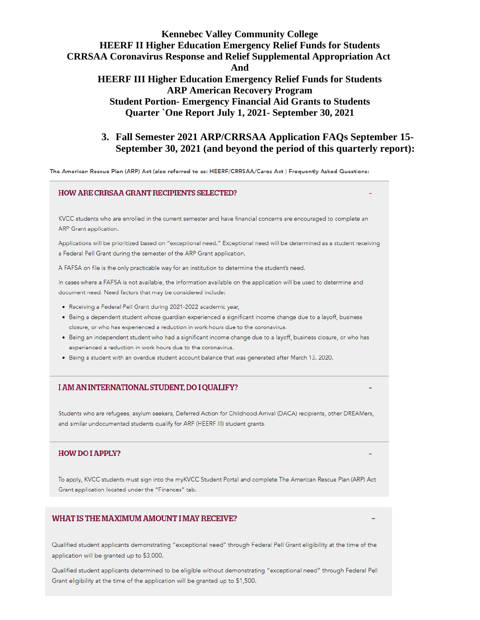#### **3. Fall Semester 2021 ARP/CRRSAA Application FAQs September 15- September 30, 2021 (and beyond the period of this quarterly report):**

The American Rescue Plan (ARP) Act (also referred to as: HEERF/CRRSAA/Cares Act) Frequently Asked Questions:

#### **HOW ARE CRRSAA GRANT RECIPIENTS SELECTED?**

KVCC students who are enrolled in the current semester and have financial concerns are encouraged to complete an ARP Grant application.

Applications will be prioritized based on "exceptional need." Exceptional need will be determined as a student receiving a Federal Pell Grant during the semester of the ARP Grant application.

A FAFSA on file is the only practicable way for an institution to determine the student's need.

In cases where a FAFSA is not available, the information available on the application will be used to determine and document need. Need factors that may be considered include:

- Receiving a Federal Pell Grant during 2021-2022 academic year,
- · Being a dependent student whose guardian experienced a significant income change due to a layoff, business closure, or who has experienced a reduction in work hours due to the coronavirus.
- Being an independent student who had a significant income change due to a layoff, business closure, or who has experienced a reduction in work hours due to the coronavirus.
- . Being a student with an overdue student account balance that was generated after March 13, 2020.

#### I AM AN INTERNATIONAL STUDENT, DO I QUALIFY?

Students who are refugees, asylum seekers, Deferred Action for Childhood Arrival (DACA) recipients, other DREAMers, and similar undocumented students qualify for ARP (HEERF III) student grants.

#### **HOW DO I APPLY?**

To apply, KVCC students must sign into the myKVCC Student Portal and complete The American Rescue Plan (ARP) Act Grant application located under the "Finances" tab.

#### WHAT IS THE MAXIMUM AMOUNT I MAY RECEIVE?

Qualified student applicants demonstrating "exceptional need" through Federal Pell Grant eligibility at the time of the application will be granted up to \$3,000.

Qualified student applicants determined to be eligible without demonstrating "exceptional need" through Federal Pell Grant eligibility at the time of the application will be granted up to \$1,500.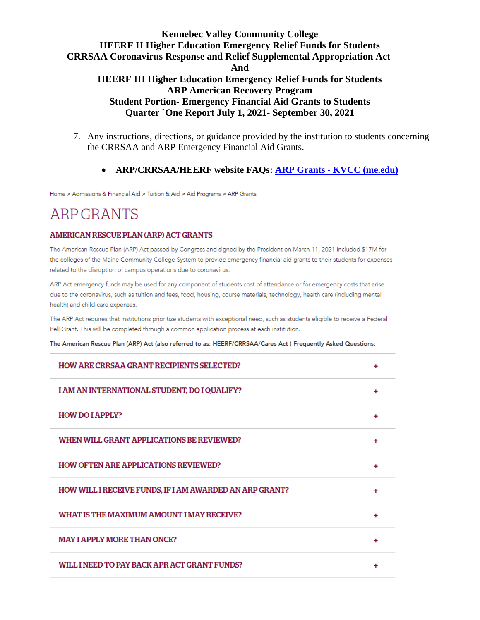- 7. Any instructions, directions, or guidance provided by the institution to students concerning the CRRSAA and ARP Emergency Financial Aid Grants.
	- **ARP/CRRSAA/HEERF website FAQs: ARP Grants - [KVCC \(me.edu\)](https://www.kvcc.me.edu/admissions-financial-aid/tuition-aid/aid-programs/arp-grants/)**

Home > Admissions & Financial Aid > Tuition & Aid > Aid Programs > ARP Grants

# **ARP GRANTS**

#### **AMERICAN RESCUE PLAN (ARP) ACT GRANTS**

The American Rescue Plan (ARP) Act passed by Congress and signed by the President on March 11, 2021 included \$17M for the colleges of the Maine Community College System to provide emergency financial aid grants to their students for expenses related to the disruption of campus operations due to coronavirus.

ARP Act emergency funds may be used for any component of students cost of attendance or for emergency costs that arise due to the coronavirus, such as tuition and fees, food, housing, course materials, technology, health care (including mental health) and child-care expenses.

The ARP Act requires that institutions prioritize students with exceptional need, such as students eligible to receive a Federal Pell Grant. This will be completed through a common application process at each institution.

The American Rescue Plan (ARP) Act (also referred to as: HEERF/CRRSAA/Cares Act) Frequently Asked Questions:

| <b>HOW ARE CRRSAA GRANT RECIPIENTS SELECTED?</b>        |   |
|---------------------------------------------------------|---|
| I AM AN INTERNATIONAL STUDENT, DO I QUALIFY?            | ۰ |
| <b>HOW DO I APPLY?</b>                                  |   |
| WHEN WILL GRANT APPLICATIONS BE REVIEWED?               | ٠ |
| <b>HOW OFTEN ARE APPLICATIONS REVIEWED?</b>             |   |
| HOW WILL I RECEIVE FUNDS, IF I AM AWARDED AN ARP GRANT? |   |
| WHAT IS THE MAXIMUM AMOUNT I MAY RECEIVE?               |   |
| <b>MAY I APPLY MORE THAN ONCE?</b>                      |   |
| WILL I NEED TO PAY BACK APR ACT GRANT FUNDS?            |   |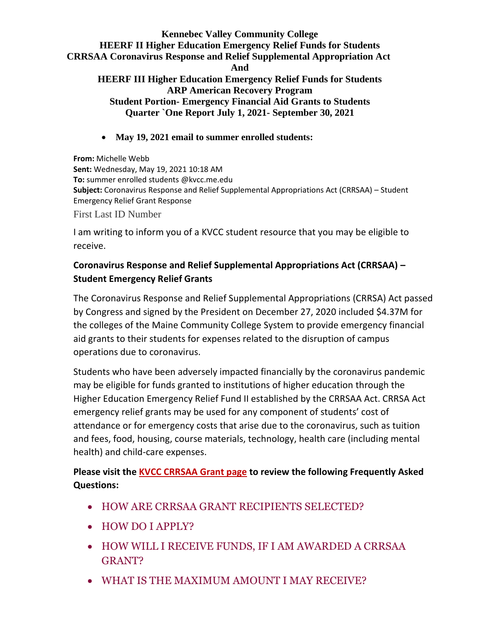**Quarter `One Report July 1, 2021- September 30, 2021**

• **May 19, 2021 email to summer enrolled students:**

**From:** Michelle Webb **Sent:** Wednesday, May 19, 2021 10:18 AM **To:** summer enrolled students @kvcc.me.edu **Subject:** Coronavirus Response and Relief Supplemental Appropriations Act (CRRSAA) – Student Emergency Relief Grant Response First Last ID Number

I am writing to inform you of a KVCC student resource that you may be eligible to receive.

## **Coronavirus Response and Relief Supplemental Appropriations Act (CRRSAA) – Student Emergency Relief Grants**

The Coronavirus Response and Relief Supplemental Appropriations (CRRSA) Act passed by Congress and signed by the President on December 27, 2020 included \$4.37M for the colleges of the Maine Community College System to provide emergency financial aid grants to their students for expenses related to the disruption of campus operations due to coronavirus.

Students who have been adversely impacted financially by the coronavirus pandemic may be eligible for funds granted to institutions of higher education through the Higher Education Emergency Relief Fund II established by the CRRSAA Act. CRRSA Act emergency relief grants may be used for any component of students' cost of attendance or for emergency costs that arise due to the coronavirus, such as tuition and fees, food, housing, course materials, technology, health care (including mental health) and child-care expenses.

**Please visit the [KVCC CRRSAA Grant page](https://www.kvcc.me.edu/admissions-financial-aid/tuition-aid/aid-programs/crrsaa-grants/) to review the following Frequently Asked Questions:**

- HOW ARE CRRSAA GRANT RECIPIENTS SELECTED?
- HOW DO I APPLY?
- HOW WILL I RECEIVE FUNDS, IF I AM AWARDED A CRRSAA GRANT?
- WHAT IS THE MAXIMUM AMOUNT I MAY RECEIVE?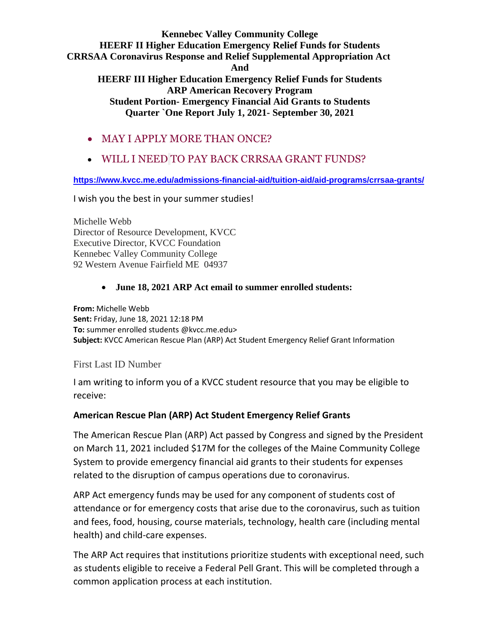- MAY I APPLY MORE THAN ONCE?
- WILL I NEED TO PAY BACK CRRSAA GRANT FUNDS?

**<https://www.kvcc.me.edu/admissions-financial-aid/tuition-aid/aid-programs/crrsaa-grants/>**

I wish you the best in your summer studies!

Michelle Webb Director of Resource Development, KVCC Executive Director, KVCC Foundation Kennebec Valley Community College 92 Western Avenue Fairfield ME 04937

## • **June 18, 2021 ARP Act email to summer enrolled students:**

**From:** Michelle Webb **Sent:** Friday, June 18, 2021 12:18 PM **To:** summer enrolled students @kvcc.me.edu> **Subject:** KVCC American Rescue Plan (ARP) Act Student Emergency Relief Grant Information

First Last ID Number

I am writing to inform you of a KVCC student resource that you may be eligible to receive:

## **American Rescue Plan (ARP) Act Student Emergency Relief Grants**

The American Rescue Plan (ARP) Act passed by Congress and signed by the President on March 11, 2021 included \$17M for the colleges of the Maine Community College System to provide emergency financial aid grants to their students for expenses related to the disruption of campus operations due to coronavirus.

ARP Act emergency funds may be used for any component of students cost of attendance or for emergency costs that arise due to the coronavirus, such as tuition and fees, food, housing, course materials, technology, health care (including mental health) and child-care expenses.

The ARP Act requires that institutions prioritize students with exceptional need, such as students eligible to receive a Federal Pell Grant. This will be completed through a common application process at each institution.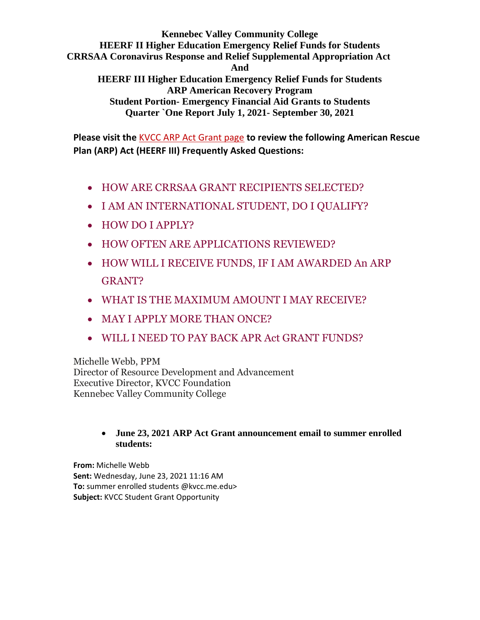**Kennebec Valley Community College HEERF II Higher Education Emergency Relief Funds for Students CRRSAA Coronavirus Response and Relief Supplemental Appropriation Act And HEERF III Higher Education Emergency Relief Funds for Students ARP American Recovery Program** 

**Student Portion- Emergency Financial Aid Grants to Students Quarter `One Report July 1, 2021- September 30, 2021**

**Please visit the** [KVCC ARP Act Grant page](https://www.kvcc.me.edu/admissions-financial-aid/tuition-aid/aid-programs/arp-grants/) **to review the following American Rescue Plan (ARP) Act (HEERF III) Frequently Asked Questions:** 

- [HOW ARE CRRSAA GRANT RECIPIENTS SELECTED?](https://www.kvcc.me.edu/admissions-financial-aid/tuition-aid/aid-programs/arp-grants/)
- [I AM AN INTERNATIONAL STUDENT, DO I QUALIFY?](https://www.kvcc.me.edu/admissions-financial-aid/tuition-aid/aid-programs/arp-grants/)
- [HOW DO I APPLY?](https://www.kvcc.me.edu/admissions-financial-aid/tuition-aid/aid-programs/arp-grants/)
- [HOW OFTEN ARE APPLICATIONS REVIEWED?](https://www.kvcc.me.edu/admissions-financial-aid/tuition-aid/aid-programs/arp-grants/)
- [HOW WILL I RECEIVE FUNDS, IF I AM AWARDED An ARP](https://www.kvcc.me.edu/admissions-financial-aid/tuition-aid/aid-programs/arp-grants/)  [GRANT?](https://www.kvcc.me.edu/admissions-financial-aid/tuition-aid/aid-programs/arp-grants/)
- [WHAT IS THE MAXIMUM AMOUNT I MAY RECEIVE?](https://www.kvcc.me.edu/admissions-financial-aid/tuition-aid/aid-programs/arp-grants/)
- [MAY I APPLY MORE THAN ONCE?](https://www.kvcc.me.edu/admissions-financial-aid/tuition-aid/aid-programs/arp-grants/)
- [WILL I NEED TO PAY BACK APR Act GRANT FUNDS?](https://www.kvcc.me.edu/admissions-financial-aid/tuition-aid/aid-programs/arp-grants/)

Michelle Webb, PPM Director of Resource Development and Advancement Executive Director, KVCC Foundation Kennebec Valley Community College

#### • **June 23, 2021 ARP Act Grant announcement email to summer enrolled students:**

**From:** Michelle Webb **Sent:** Wednesday, June 23, 2021 11:16 AM **To:** summer enrolled students @kvcc.me.edu> **Subject:** KVCC Student Grant Opportunity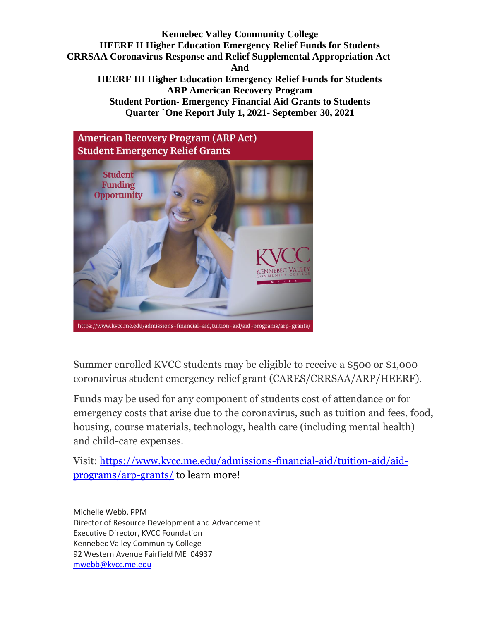

Summer enrolled KVCC students may be eligible to receive a \$500 or \$1,000 coronavirus student emergency relief grant (CARES/CRRSAA/ARP/HEERF).

Funds may be used for any component of students cost of attendance or for emergency costs that arise due to the coronavirus, such as tuition and fees, food, housing, course materials, technology, health care (including mental health) and child-care expenses.

Visit: [https://www.kvcc.me.edu/admissions-financial-aid/tuition-aid/aid](https://nam11.safelinks.protection.outlook.com/?url=https%3A%2F%2Fwww.kvcc.me.edu%2Fadmissions-financial-aid%2Ftuition-aid%2Faid-programs%2Farp-grants%2F&data=04%7C01%7CMWebb%40kvcc.me.edu%7C1b55a2a6b74f4291b63e08d93657e14d%7C25eb78d160a04eb4aa539f80c186b3e5%7C0%7C0%7C637600573329261034%7CUnknown%7CTWFpbGZsb3d8eyJWIjoiMC4wLjAwMDAiLCJQIjoiV2luMzIiLCJBTiI6Ik1haWwiLCJXVCI6Mn0%3D%7C1000&sdata=iHvccLga1oKagOGAfswO19FbDnjpqMlIBY1gQ3JgQqg%3D&reserved=0)[programs/arp-grants/](https://nam11.safelinks.protection.outlook.com/?url=https%3A%2F%2Fwww.kvcc.me.edu%2Fadmissions-financial-aid%2Ftuition-aid%2Faid-programs%2Farp-grants%2F&data=04%7C01%7CMWebb%40kvcc.me.edu%7C1b55a2a6b74f4291b63e08d93657e14d%7C25eb78d160a04eb4aa539f80c186b3e5%7C0%7C0%7C637600573329261034%7CUnknown%7CTWFpbGZsb3d8eyJWIjoiMC4wLjAwMDAiLCJQIjoiV2luMzIiLCJBTiI6Ik1haWwiLCJXVCI6Mn0%3D%7C1000&sdata=iHvccLga1oKagOGAfswO19FbDnjpqMlIBY1gQ3JgQqg%3D&reserved=0) to learn more!

Michelle Webb, PPM Director of Resource Development and Advancement Executive Director, KVCC Foundation Kennebec Valley Community College 92 Western Avenue Fairfield ME 04937 [mwebb@kvcc.me.edu](mailto:mwebb@kvcc.me.edu)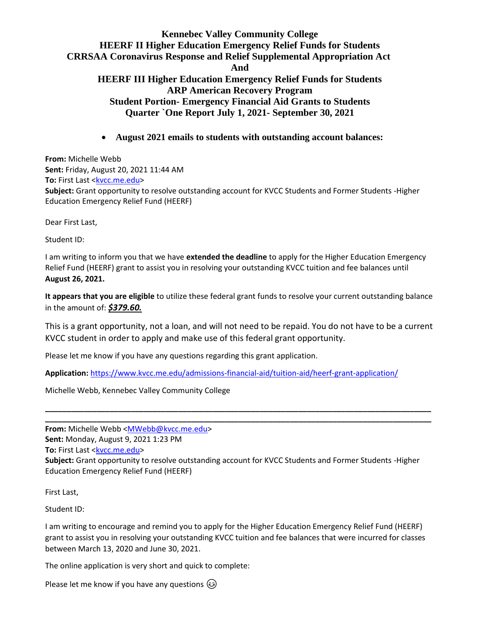• **August 2021 emails to students with outstanding account balances:**

**From:** Michelle Webb **Sent:** Friday, August 20, 2021 11:44 AM **To:** First Last [<kvcc.me.edu>](mailto:LaFlamme.Justin@kvcc.me.edu) **Subject:** Grant opportunity to resolve outstanding account for KVCC Students and Former Students -Higher Education Emergency Relief Fund (HEERF)

Dear First Last,

Student ID:

I am writing to inform you that we have **extended the deadline** to apply for the Higher Education Emergency Relief Fund (HEERF) grant to assist you in resolving your outstanding KVCC tuition and fee balances until **August 26, 2021.**

**It appears that you are eligible** to utilize these federal grant funds to resolve your current outstanding balance in the amount of: *\$379.60.* 

This is a grant opportunity, not a loan, and will not need to be repaid. You do not have to be a current KVCC student in order to apply and make use of this federal grant opportunity.

Please let me know if you have any questions regarding this grant application.

**Application:** [https://www.kvcc.me.edu/admissions-financial-aid/tuition-aid/heerf-grant-application/](https://nam11.safelinks.protection.outlook.com/?url=https%3A%2F%2Fwww.kvcc.me.edu%2Fadmissions-financial-aid%2Ftuition-aid%2Fheerf-grant-application%2F&data=04%7C01%7CMWebb%40kvcc.me.edu%7C3204abdf86ad4aaf918b08d94e13372b%7C25eb78d160a04eb4aa539f80c186b3e5%7C0%7C0%7C637626666733557598%7CUnknown%7CTWFpbGZsb3d8eyJWIjoiMC4wLjAwMDAiLCJQIjoiV2luMzIiLCJBTiI6Ik1haWwiLCJXVCI6Mn0%3D%7C1000&sdata=e1SBpXWta4o19Fg6cDenuNRf2OdwAbYPkAOdVlm0AAw%3D&reserved=0)

Michelle Webb, Kennebec Valley Community College

**From:** Michelle Webb [<MWebb@kvcc.me.edu>](mailto:MWebb@kvcc.me.edu)

**Sent:** Monday, August 9, 2021 1:23 PM

**To:** First Last [<kvcc.me.edu>](mailto:LaFlamme.Justin@kvcc.me.edu)

**Subject:** Grant opportunity to resolve outstanding account for KVCC Students and Former Students -Higher Education Emergency Relief Fund (HEERF)

**\_\_\_\_\_\_\_\_\_\_\_\_\_\_\_\_\_\_\_\_\_\_\_\_\_\_\_\_\_\_\_\_\_\_\_\_\_\_\_\_\_\_\_\_\_\_\_\_\_\_\_\_\_\_\_\_\_\_\_\_\_\_\_\_\_\_\_\_\_\_\_\_\_\_\_\_\_\_\_\_\_\_\_\_\_\_\_\_\_\_ \_\_\_\_\_\_\_\_\_\_\_\_\_\_\_\_\_\_\_\_\_\_\_\_\_\_\_\_\_\_\_\_\_\_\_\_\_\_\_\_\_\_\_\_\_\_\_\_\_\_\_\_\_\_\_\_\_\_\_\_\_\_\_\_\_\_\_\_\_\_\_\_\_\_\_\_\_\_\_\_\_\_\_\_\_\_\_\_\_\_**

First Last,

Student ID:

I am writing to encourage and remind you to apply for the Higher Education Emergency Relief Fund (HEERF) grant to assist you in resolving your outstanding KVCC tuition and fee balances that were incurred for classes between March 13, 2020 and June 30, 2021.

The online application is very short and quick to complete:

Please let me know if you have any questions  $\circled{e}$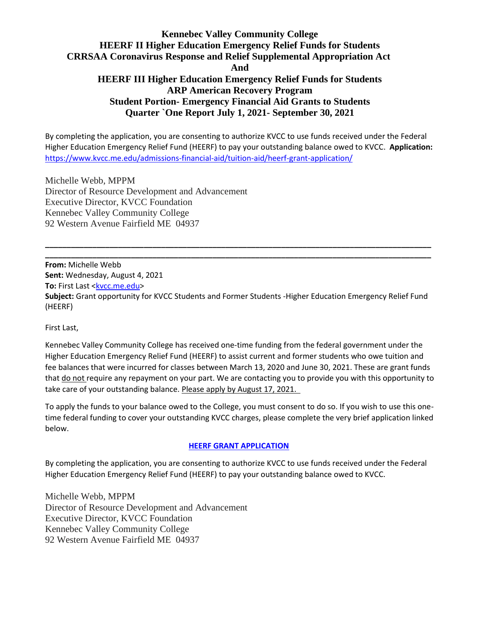By completing the application, you are consenting to authorize KVCC to use funds received under the Federal Higher Education Emergency Relief Fund (HEERF) to pay your outstanding balance owed to KVCC. **Application:**  [https://www.kvcc.me.edu/admissions-financial-aid/tuition-aid/heerf-grant-application/](https://nam11.safelinks.protection.outlook.com/?url=https%3A%2F%2Fwww.kvcc.me.edu%2Fadmissions-financial-aid%2Ftuition-aid%2Fheerf-grant-application%2F&data=04%7C01%7CMWebb%40kvcc.me.edu%7C3204abdf86ad4aaf918b08d94e13372b%7C25eb78d160a04eb4aa539f80c186b3e5%7C0%7C0%7C637626666733557598%7CUnknown%7CTWFpbGZsb3d8eyJWIjoiMC4wLjAwMDAiLCJQIjoiV2luMzIiLCJBTiI6Ik1haWwiLCJXVCI6Mn0%3D%7C1000&sdata=e1SBpXWta4o19Fg6cDenuNRf2OdwAbYPkAOdVlm0AAw%3D&reserved=0)

Michelle Webb, MPPM Director of Resource Development and Advancement Executive Director, KVCC Foundation Kennebec Valley Community College 92 Western Avenue Fairfield ME 04937

**From:** Michelle Webb **Sent:** Wednesday, August 4, 2021 **To:** First Last [<kvcc.me.edu>](mailto:LaFlamme.Justin@kvcc.me.edu) **Subject:** Grant opportunity for KVCC Students and Former Students -Higher Education Emergency Relief Fund (HEERF)

**\_\_\_\_\_\_\_\_\_\_\_\_\_\_\_\_\_\_\_\_\_\_\_\_\_\_\_\_\_\_\_\_\_\_\_\_\_\_\_\_\_\_\_\_\_\_\_\_\_\_\_\_\_\_\_\_\_\_\_\_\_\_\_\_\_\_\_\_\_\_\_\_\_\_\_\_\_\_\_\_\_\_\_\_\_\_\_\_\_\_ \_\_\_\_\_\_\_\_\_\_\_\_\_\_\_\_\_\_\_\_\_\_\_\_\_\_\_\_\_\_\_\_\_\_\_\_\_\_\_\_\_\_\_\_\_\_\_\_\_\_\_\_\_\_\_\_\_\_\_\_\_\_\_\_\_\_\_\_\_\_\_\_\_\_\_\_\_\_\_\_\_\_\_\_\_\_\_\_\_\_**

First Last,

Kennebec Valley Community College has received one-time funding from the federal government under the Higher Education Emergency Relief Fund (HEERF) to assist current and former students who owe tuition and fee balances that were incurred for classes between March 13, 2020 and June 30, 2021. These are grant funds that do not require any repayment on your part. We are contacting you to provide you with this opportunity to take care of your outstanding balance. Please apply by August 17, 2021.

To apply the funds to your balance owed to the College, you must consent to do so. If you wish to use this onetime federal funding to cover your outstanding KVCC charges, please complete the very brief application linked below.

#### **[HEERF GRANT APPLICATION](https://nam11.safelinks.protection.outlook.com/?url=https%3A%2F%2Fwww.kvcc.me.edu%2Fadmissions-financial-aid%2Ftuition-aid%2Fheerf-grant-application%2F&data=04%7C01%7CMWebb%40kvcc.me.edu%7C3204abdf86ad4aaf918b08d94e13372b%7C25eb78d160a04eb4aa539f80c186b3e5%7C0%7C0%7C637626666733547611%7CUnknown%7CTWFpbGZsb3d8eyJWIjoiMC4wLjAwMDAiLCJQIjoiV2luMzIiLCJBTiI6Ik1haWwiLCJXVCI6Mn0%3D%7C1000&sdata=5RSXQM30PxcGE12jIqqW6dJP9Yt%2BhKEIauo5JX9NmL4%3D&reserved=0)**

By completing the application, you are consenting to authorize KVCC to use funds received under the Federal Higher Education Emergency Relief Fund (HEERF) to pay your outstanding balance owed to KVCC.

Michelle Webb, MPPM Director of Resource Development and Advancement Executive Director, KVCC Foundation Kennebec Valley Community College 92 Western Avenue Fairfield ME 04937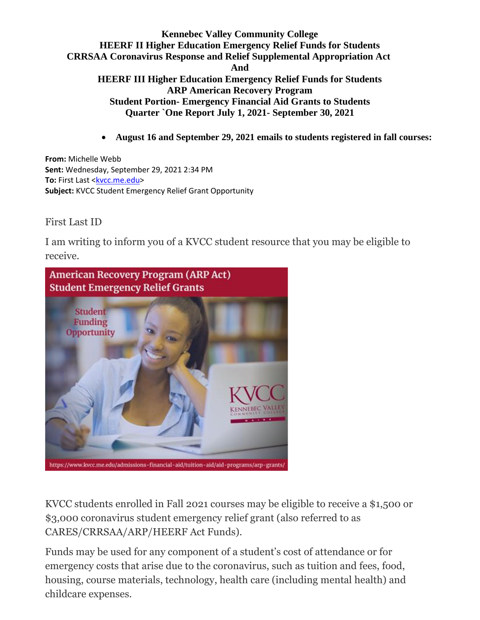• **August 16 and September 29, 2021 emails to students registered in fall courses:**

**From:** Michelle Webb **Sent:** Wednesday, September 29, 2021 2:34 PM **To:** First Last [<kvcc.me.edu>](mailto:LaFlamme.Justin@kvcc.me.edu) **Subject:** KVCC Student Emergency Relief Grant Opportunity

First Last ID

I am writing to inform you of a KVCC student resource that you may be eligible to receive.



KVCC students enrolled in Fall 2021 courses may be eligible to receive a \$1,500 or \$3,000 coronavirus student emergency relief grant (also referred to as CARES/CRRSAA/ARP/HEERF Act Funds).

Funds may be used for any component of a student's cost of attendance or for emergency costs that arise due to the coronavirus, such as tuition and fees, food, housing, course materials, technology, health care (including mental health) and childcare expenses.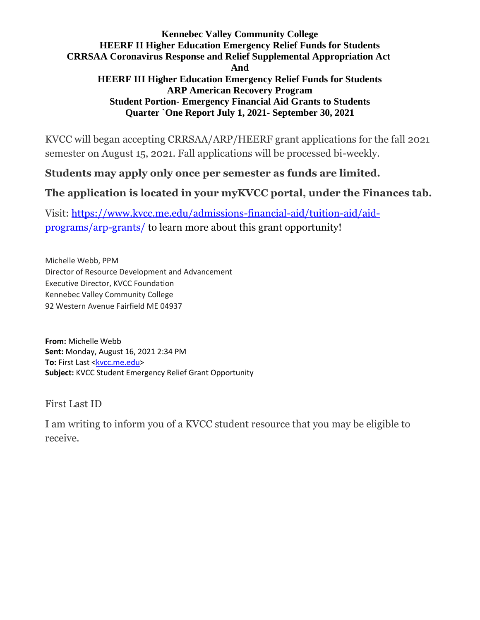KVCC will began accepting CRRSAA/ARP/HEERF grant applications for the fall 2021 semester on August 15, 2021. Fall applications will be processed bi-weekly.

# **Students may apply only once per semester as funds are limited.**

# **The application is located in your myKVCC portal, under the Finances tab.**

Visit: [https://www.kvcc.me.edu/admissions-financial-aid/tuition-aid/aid](https://nam11.safelinks.protection.outlook.com/?url=https%3A%2F%2Fwww.kvcc.me.edu%2Fadmissions-financial-aid%2Ftuition-aid%2Faid-programs%2Farp-grants%2F&data=04%7C01%7CMWebb%40kvcc.me.edu%7C1b55a2a6b74f4291b63e08d93657e14d%7C25eb78d160a04eb4aa539f80c186b3e5%7C0%7C0%7C637600573329261034%7CUnknown%7CTWFpbGZsb3d8eyJWIjoiMC4wLjAwMDAiLCJQIjoiV2luMzIiLCJBTiI6Ik1haWwiLCJXVCI6Mn0%3D%7C1000&sdata=iHvccLga1oKagOGAfswO19FbDnjpqMlIBY1gQ3JgQqg%3D&reserved=0)[programs/arp-grants/](https://nam11.safelinks.protection.outlook.com/?url=https%3A%2F%2Fwww.kvcc.me.edu%2Fadmissions-financial-aid%2Ftuition-aid%2Faid-programs%2Farp-grants%2F&data=04%7C01%7CMWebb%40kvcc.me.edu%7C1b55a2a6b74f4291b63e08d93657e14d%7C25eb78d160a04eb4aa539f80c186b3e5%7C0%7C0%7C637600573329261034%7CUnknown%7CTWFpbGZsb3d8eyJWIjoiMC4wLjAwMDAiLCJQIjoiV2luMzIiLCJBTiI6Ik1haWwiLCJXVCI6Mn0%3D%7C1000&sdata=iHvccLga1oKagOGAfswO19FbDnjpqMlIBY1gQ3JgQqg%3D&reserved=0) to learn more about this grant opportunity!

Michelle Webb, PPM Director of Resource Development and Advancement Executive Director, KVCC Foundation Kennebec Valley Community College 92 Western Avenue Fairfield ME 04937

**From:** Michelle Webb **Sent:** Monday, August 16, 2021 2:34 PM **To:** First Last [<kvcc.me.edu>](mailto:LaFlamme.Justin@kvcc.me.edu) **Subject:** KVCC Student Emergency Relief Grant Opportunity

First Last ID

I am writing to inform you of a KVCC student resource that you may be eligible to receive.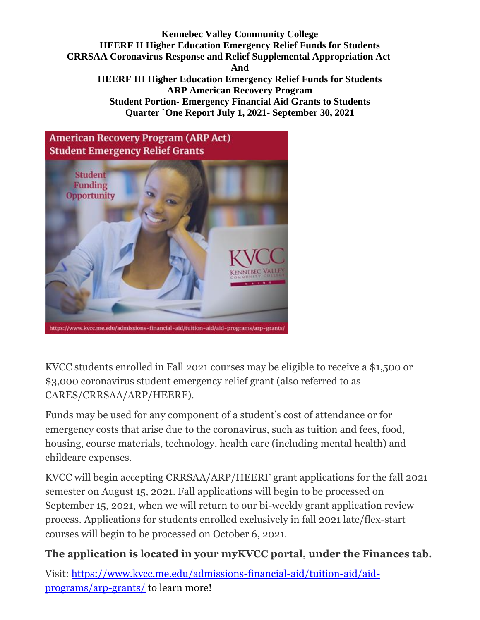

KVCC students enrolled in Fall 2021 courses may be eligible to receive a \$1,500 or \$3,000 coronavirus student emergency relief grant (also referred to as CARES/CRRSAA/ARP/HEERF).

Funds may be used for any component of a student's cost of attendance or for emergency costs that arise due to the coronavirus, such as tuition and fees, food, housing, course materials, technology, health care (including mental health) and childcare expenses.

KVCC will begin accepting CRRSAA/ARP/HEERF grant applications for the fall 2021 semester on August 15, 2021. Fall applications will begin to be processed on September 15, 2021, when we will return to our bi-weekly grant application review process. Applications for students enrolled exclusively in fall 2021 late/flex-start courses will begin to be processed on October 6, 2021.

# **The application is located in your myKVCC portal, under the Finances tab.**

Visit: [https://www.kvcc.me.edu/admissions-financial-aid/tuition-aid/aid](https://nam11.safelinks.protection.outlook.com/?url=https%3A%2F%2Fwww.kvcc.me.edu%2Fadmissions-financial-aid%2Ftuition-aid%2Faid-programs%2Farp-grants%2F&data=04%7C01%7CMWebb%40kvcc.me.edu%7C1b55a2a6b74f4291b63e08d93657e14d%7C25eb78d160a04eb4aa539f80c186b3e5%7C0%7C0%7C637600573329261034%7CUnknown%7CTWFpbGZsb3d8eyJWIjoiMC4wLjAwMDAiLCJQIjoiV2luMzIiLCJBTiI6Ik1haWwiLCJXVCI6Mn0%3D%7C1000&sdata=iHvccLga1oKagOGAfswO19FbDnjpqMlIBY1gQ3JgQqg%3D&reserved=0)[programs/arp-grants/](https://nam11.safelinks.protection.outlook.com/?url=https%3A%2F%2Fwww.kvcc.me.edu%2Fadmissions-financial-aid%2Ftuition-aid%2Faid-programs%2Farp-grants%2F&data=04%7C01%7CMWebb%40kvcc.me.edu%7C1b55a2a6b74f4291b63e08d93657e14d%7C25eb78d160a04eb4aa539f80c186b3e5%7C0%7C0%7C637600573329261034%7CUnknown%7CTWFpbGZsb3d8eyJWIjoiMC4wLjAwMDAiLCJQIjoiV2luMzIiLCJBTiI6Ik1haWwiLCJXVCI6Mn0%3D%7C1000&sdata=iHvccLga1oKagOGAfswO19FbDnjpqMlIBY1gQ3JgQqg%3D&reserved=0) to learn more!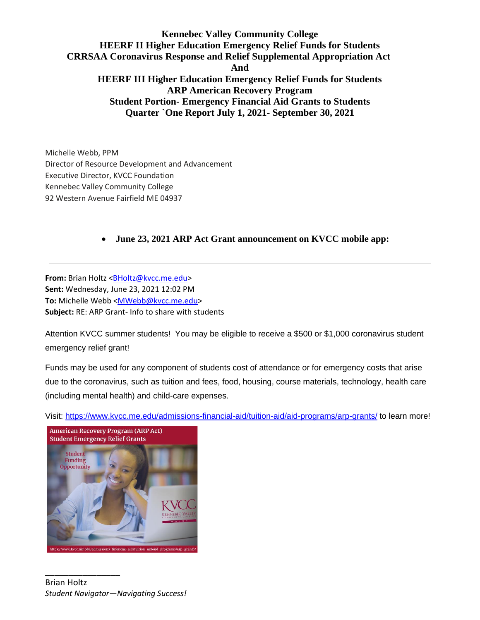Michelle Webb, PPM Director of Resource Development and Advancement Executive Director, KVCC Foundation Kennebec Valley Community College 92 Western Avenue Fairfield ME 04937

#### • **June 23, 2021 ARP Act Grant announcement on KVCC mobile app:**

**From:** Brian Holtz [<BHoltz@kvcc.me.edu>](mailto:BHoltz@kvcc.me.edu) **Sent:** Wednesday, June 23, 2021 12:02 PM **To:** Michelle Webb [<MWebb@kvcc.me.edu>](mailto:MWebb@kvcc.me.edu) **Subject:** RE: ARP Grant- Info to share with students

Attention KVCC summer students! You may be eligible to receive a \$500 or \$1,000 coronavirus student emergency relief grant!

Funds may be used for any component of students cost of attendance or for emergency costs that arise due to the coronavirus, such as tuition and fees, food, housing, course materials, technology, health care (including mental health) and child-care expenses.

Visit: [https://www.kvcc.me.edu/admissions-financial-aid/tuition-aid/aid-programs/arp-grants/](https://nam11.safelinks.protection.outlook.com/?url=https%3A%2F%2Fwww.kvcc.me.edu%2Fadmissions-financial-aid%2Ftuition-aid%2Faid-programs%2Farp-grants%2F&data=04%7C01%7CMWebb%40kvcc.me.edu%7Cb07e89476e4e4830e86208d93666b2a3%7C25eb78d160a04eb4aa539f80c186b3e5%7C0%7C0%7C637600636992661475%7CUnknown%7CTWFpbGZsb3d8eyJWIjoiMC4wLjAwMDAiLCJQIjoiV2luMzIiLCJBTiI6Ik1haWwiLCJXVCI6Mn0%3D%7C1000&sdata=ip%2Fh72cI672TA1NyolB0ZXeA0BIRHZq%2Fa8BQLaOzwNE%3D&reserved=0) to learn more!



\_\_\_\_\_\_\_\_\_\_\_\_\_\_\_\_